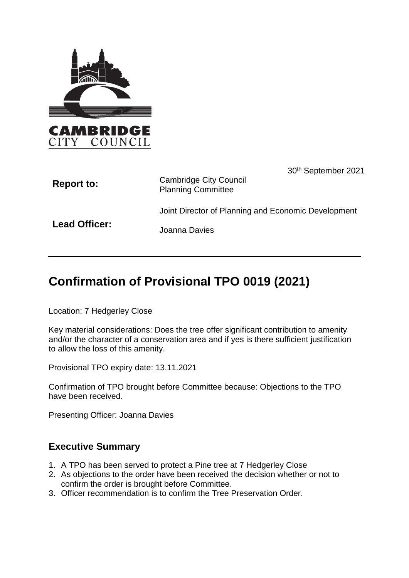

| <b>Report to:</b>    | 30 <sup>th</sup> September 2021<br><b>Cambridge City Council</b><br><b>Planning Committee</b> |
|----------------------|-----------------------------------------------------------------------------------------------|
|                      | Joint Director of Planning and Economic Development                                           |
| <b>Lead Officer:</b> | Joanna Davies                                                                                 |

# **Confirmation of Provisional TPO 0019 (2021)**

Location: 7 Hedgerley Close

Key material considerations: Does the tree offer significant contribution to amenity and/or the character of a conservation area and if yes is there sufficient justification to allow the loss of this amenity.

Provisional TPO expiry date: 13.11.2021

Confirmation of TPO brought before Committee because: Objections to the TPO have been received.

Presenting Officer: Joanna Davies

### **Executive Summary**

- 1. A TPO has been served to protect a Pine tree at 7 Hedgerley Close
- 2. As objections to the order have been received the decision whether or not to confirm the order is brought before Committee.
- 3. Officer recommendation is to confirm the Tree Preservation Order.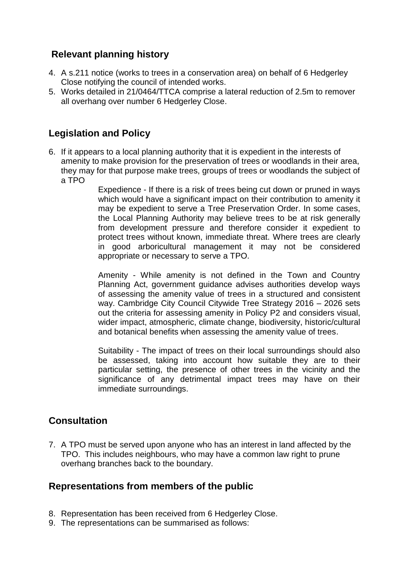## **Relevant planning history**

- 4. A s.211 notice (works to trees in a conservation area) on behalf of 6 Hedgerley Close notifying the council of intended works.
- 5. Works detailed in 21/0464/TTCA comprise a lateral reduction of 2.5m to remover all overhang over number 6 Hedgerley Close.

### **Legislation and Policy**

6. If it appears to a local planning authority that it is expedient in the interests of amenity to make provision for the preservation of trees or woodlands in their area, they may for that purpose make trees, groups of trees or woodlands the subject of a TPO

Expedience - If there is a risk of trees being cut down or pruned in ways which would have a significant impact on their contribution to amenity it may be expedient to serve a Tree Preservation Order. In some cases, the Local Planning Authority may believe trees to be at risk generally from development pressure and therefore consider it expedient to protect trees without known, immediate threat. Where trees are clearly in good arboricultural management it may not be considered appropriate or necessary to serve a TPO.

Amenity - While amenity is not defined in the Town and Country Planning Act, government guidance advises authorities develop ways of assessing the amenity value of trees in a structured and consistent way. Cambridge City Council Citywide Tree Strategy 2016 – 2026 sets out the criteria for assessing amenity in Policy P2 and considers visual, wider impact, atmospheric, climate change, biodiversity, historic/cultural and botanical benefits when assessing the amenity value of trees.

Suitability - The impact of trees on their local surroundings should also be assessed, taking into account how suitable they are to their particular setting, the presence of other trees in the vicinity and the significance of any detrimental impact trees may have on their immediate surroundings.

### **Consultation**

7. A TPO must be served upon anyone who has an interest in land affected by the TPO. This includes neighbours, who may have a common law right to prune overhang branches back to the boundary.

### **Representations from members of the public**

- 8. Representation has been received from 6 Hedgerley Close.
- 9. The representations can be summarised as follows: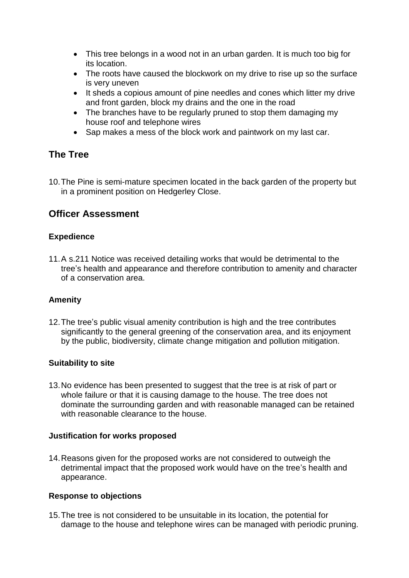- This tree belongs in a wood not in an urban garden. It is much too big for its location.
- The roots have caused the blockwork on my drive to rise up so the surface is very uneven
- It sheds a copious amount of pine needles and cones which litter my drive and front garden, block my drains and the one in the road
- The branches have to be regularly pruned to stop them damaging my house roof and telephone wires
- Sap makes a mess of the block work and paintwork on my last car.

### **The Tree**

10.The Pine is semi-mature specimen located in the back garden of the property but in a prominent position on Hedgerley Close.

# **Officer Assessment**

#### **Expedience**

11.A s.211 Notice was received detailing works that would be detrimental to the tree's health and appearance and therefore contribution to amenity and character of a conservation area.

#### **Amenity**

12.The tree's public visual amenity contribution is high and the tree contributes significantly to the general greening of the conservation area, and its enjoyment by the public, biodiversity, climate change mitigation and pollution mitigation.

#### **Suitability to site**

13.No evidence has been presented to suggest that the tree is at risk of part or whole failure or that it is causing damage to the house. The tree does not dominate the surrounding garden and with reasonable managed can be retained with reasonable clearance to the house.

#### **Justification for works proposed**

14.Reasons given for the proposed works are not considered to outweigh the detrimental impact that the proposed work would have on the tree's health and appearance.

#### **Response to objections**

15.The tree is not considered to be unsuitable in its location, the potential for damage to the house and telephone wires can be managed with periodic pruning.